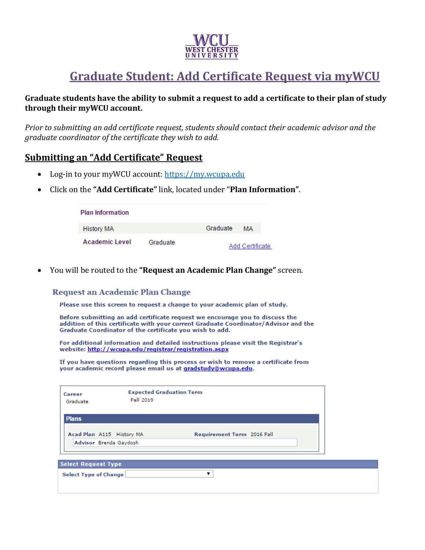

# **Graduate Student: Add Certificate Request via myWCU**

### **Graduate students have the ability to submit a request to add a certificate to their plan of study through their myWCU account.**

*Prior to submitting an add certificate request, students should contact their academic advisor and the graduate coordinator of the certificate they wish to add.* 

## **Submitting an "Add Certificate" Request**

- Log-in to your myWCU account: [https://my.wcupa.edu](https://my.wcupa.edu/)
- Click on the **"Add Certificate"** link, located under "**Plan Information"**.

| <b>Plan Information</b> |          |                        |    |  |
|-------------------------|----------|------------------------|----|--|
| <b>History MA</b>       |          | Graduate               | MА |  |
| Academic Level          | Graduate | <b>Add Certificate</b> |    |  |

You will be routed to the **"Request an Academic Plan Change"** screen.

#### Request an Academic Plan Change

Please use this screen to request a change to your academic plan of study.

Before submitting an add certificate request we encourage you to discuss the addition of this certificate with your current Graduate Coordinator/Advisor and the Graduate Coordinator of the certificate you wish to add.

For additional information and detailed instructions please visit the Registrar's website: http://wcupa.edu/registrar/registration.aspx

If you have questions regarding this process or wish to remove a certificate from your academic record please email us at gradstudy@wcupa.edu.

| Career<br>Graduate         | <b>Expected Graduation Term</b><br>Fall 2019 |                            |
|----------------------------|----------------------------------------------|----------------------------|
| <b>Plans</b>               |                                              |                            |
| Acad Plan A115 History MA  |                                              | Requirement Term 2016 Fall |
| Advisor Brenda Gaydosh     |                                              |                            |
|                            |                                              |                            |
| <b>Select Request Type</b> |                                              |                            |

|  |  |  | Select Type of Change |  |
|--|--|--|-----------------------|--|
|--|--|--|-----------------------|--|

 $\overline{\mathbf{r}}$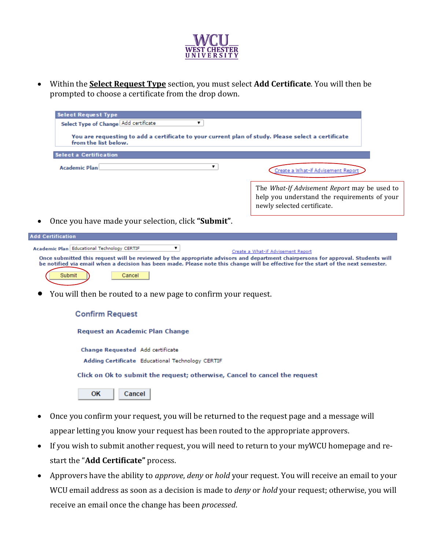

 Within the **Select Request Type** section, you must select **Add Certificate**. You will then be prompted to choose a certificate from the drop down.

| <b>Select Request Type</b>                                                                                                 |                                                                                                                                    |
|----------------------------------------------------------------------------------------------------------------------------|------------------------------------------------------------------------------------------------------------------------------------|
| Select Type of Change Add certificate                                                                                      |                                                                                                                                    |
| You are requesting to add a certificate to your current plan of study. Please select a certificate<br>from the list below. |                                                                                                                                    |
| <b>Select a Certification</b>                                                                                              |                                                                                                                                    |
| Academic Plan                                                                                                              | Create a What-if Advisement Report                                                                                                 |
|                                                                                                                            | The <i>What-If Advisement Report</i> may be used to<br>help you understand the requirements of your<br>newly selected certificate. |
| Once you have made your selection, click "Submit".                                                                         |                                                                                                                                    |

| <b>Add Certification</b>                                                                                                                                                                                                                                                                                                                                                |
|-------------------------------------------------------------------------------------------------------------------------------------------------------------------------------------------------------------------------------------------------------------------------------------------------------------------------------------------------------------------------|
| Academic Plan   Educational Technology CERTIF<br>Create a What-if Advisement Report<br>Once submitted this request will be reviewed by the appropriate advisors and department chairpersons for approval. Students will<br>be notified via email when a decision has been made. Please note this change will be effective for the start of the next semester.<br>Cancel |

You will then be routed to a new page to confirm your request.

| <b>Confirm Request</b> |  |  |
|------------------------|--|--|
|------------------------|--|--|

Request an Academic Plan Change

Change Requested Add certificate Adding Certificate Educational Technology CERTIF

Click on Ok to submit the request; otherwise, Cancel to cancel the request

**OK**  $Cancel$ 

- Once you confirm your request, you will be returned to the request page and a message will appear letting you know your request has been routed to the appropriate approvers.
- If you wish to submit another request, you will need to return to your myWCU homepage and restart the "**Add Certificate"** process.
- Approvers have the ability to *approve*, *deny* or *hold* your request. You will receive an email to your WCU email address as soon as a decision is made to *deny* or *hold* your request; otherwise, you will receive an email once the change has been *processed*.